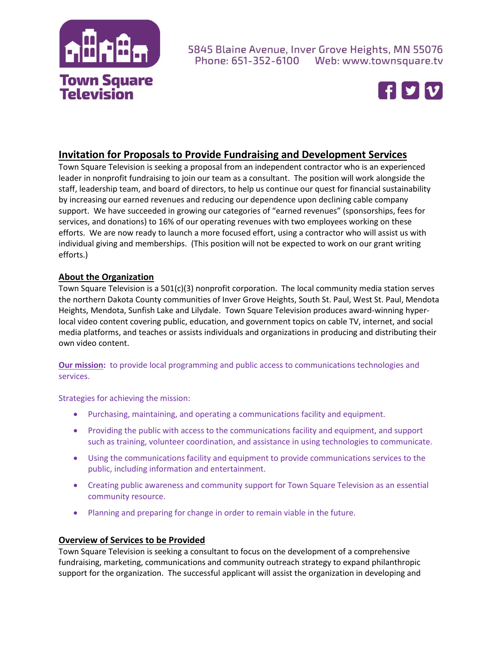

#### 5845 Blaine Avenue, Inver Grove Heights, MN 55076 Phone: 651-352-6100 Web: www.townsquare.tv



# **Invitation for Proposals to Provide Fundraising and Development Services**

Town Square Television is seeking a proposal from an independent contractor who is an experienced leader in nonprofit fundraising to join our team as a consultant. The position will work alongside the staff, leadership team, and board of directors, to help us continue our quest for financial sustainability by increasing our earned revenues and reducing our dependence upon declining cable company support. We have succeeded in growing our categories of "earned revenues" (sponsorships, fees for services, and donations) to 16% of our operating revenues with two employees working on these efforts. We are now ready to launch a more focused effort, using a contractor who will assist us with individual giving and memberships. (This position will not be expected to work on our grant writing efforts.)

#### **About the Organization**

Town Square Television is a 501(c)(3) nonprofit corporation. The local community media station serves the northern Dakota County communities of Inver Grove Heights, South St. Paul, West St. Paul, Mendota Heights, Mendota, Sunfish Lake and Lilydale. Town Square Television produces award-winning hyperlocal video content covering public, education, and government topics on cable TV, internet, and social media platforms, and teaches or assists individuals and organizations in producing and distributing their own video content.

**Our mission:** to provide local programming and public access to communications technologies and services.

Strategies for achieving the mission:

- Purchasing, maintaining, and operating a communications facility and equipment.
- Providing the public with access to the communications facility and equipment, and support such as training, volunteer coordination, and assistance in using technologies to communicate.
- Using the communications facility and equipment to provide communications services to the public, including information and entertainment.
- Creating public awareness and community support for Town Square Television as an essential community resource.
- Planning and preparing for change in order to remain viable in the future.

#### **Overview of Services to be Provided**

Town Square Television is seeking a consultant to focus on the development of a comprehensive fundraising, marketing, communications and community outreach strategy to expand philanthropic support for the organization. The successful applicant will assist the organization in developing and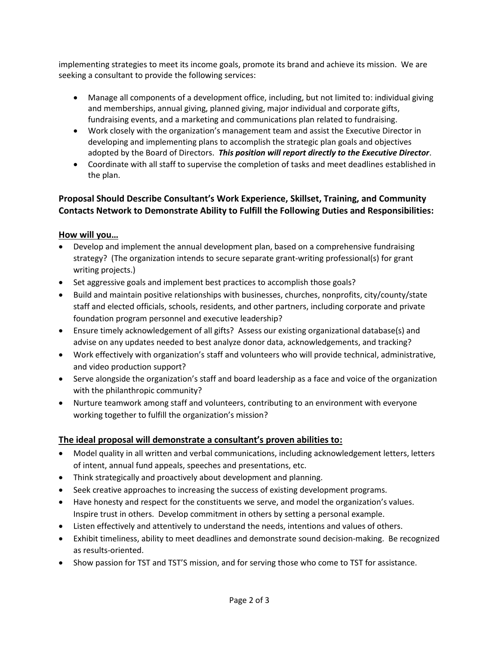implementing strategies to meet its income goals, promote its brand and achieve its mission. We are seeking a consultant to provide the following services:

- Manage all components of a development office, including, but not limited to: individual giving and memberships, annual giving, planned giving, major individual and corporate gifts, fundraising events, and a marketing and communications plan related to fundraising.
- Work closely with the organization's management team and assist the Executive Director in developing and implementing plans to accomplish the strategic plan goals and objectives adopted by the Board of Directors. *This position will report directly to the Executive Director*.
- Coordinate with all staff to supervise the completion of tasks and meet deadlines established in the plan.

## **Proposal Should Describe Consultant's Work Experience, Skillset, Training, and Community Contacts Network to Demonstrate Ability to Fulfill the Following Duties and Responsibilities:**

## **How will you…**

- Develop and implement the annual development plan, based on a comprehensive fundraising strategy? (The organization intends to secure separate grant-writing professional(s) for grant writing projects.)
- Set aggressive goals and implement best practices to accomplish those goals?
- Build and maintain positive relationships with businesses, churches, nonprofits, city/county/state staff and elected officials, schools, residents, and other partners, including corporate and private foundation program personnel and executive leadership?
- Ensure timely acknowledgement of all gifts? Assess our existing organizational database(s) and advise on any updates needed to best analyze donor data, acknowledgements, and tracking?
- Work effectively with organization's staff and volunteers who will provide technical, administrative, and video production support?
- Serve alongside the organization's staff and board leadership as a face and voice of the organization with the philanthropic community?
- Nurture teamwork among staff and volunteers, contributing to an environment with everyone working together to fulfill the organization's mission?

## **The ideal proposal will demonstrate a consultant's proven abilities to:**

- Model quality in all written and verbal communications, including acknowledgement letters, letters of intent, annual fund appeals, speeches and presentations, etc.
- Think strategically and proactively about development and planning.
- Seek creative approaches to increasing the success of existing development programs.
- Have honesty and respect for the constituents we serve, and model the organization's values. Inspire trust in others. Develop commitment in others by setting a personal example.
- Listen effectively and attentively to understand the needs, intentions and values of others.
- Exhibit timeliness, ability to meet deadlines and demonstrate sound decision-making. Be recognized as results-oriented.
- Show passion for TST and TST'S mission, and for serving those who come to TST for assistance.